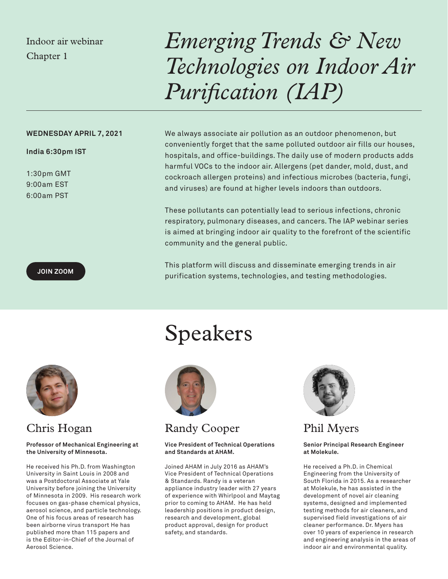## Indoor air webinar Chapter 1

# *Emerging Trends & New Technologies on Indoor Air Purification (IAP)*

## **WEDNESDAY APRIL 7, 2021**

## **India 6:30pm IST**

1:30pm GMT 9:00am EST 6:00am PST

We always associate air pollution as an outdoor phenomenon, but conveniently forget that the same polluted outdoor air fills our houses, hospitals, and office-buildings. The daily use of modern products adds harmful VOCs to the indoor air. Allergens (pet dander, mold, dust, and cockroach allergen proteins) and infectious microbes (bacteria, fungi, and viruses) are found at higher levels indoors than outdoors.

These pollutants can potentially lead to serious infections, chronic respiratory, pulmonary diseases, and cancers. The IAP webinar series is aimed at bringing indoor air quality to the forefront of the scientific community and the general public.

This platform will discuss and disseminate emerging trends in air purification systems, technologies, and testing methodologies.



## Chris Hogan

#### **Professor of Mechanical Engineering at the University of Minnesota.**

He received his Ph.D. from Washington University in Saint Louis in 2008 and was a Postdoctoral Associate at Yale University before joining the University of Minnesota in 2009. His research work focuses on gas-phase chemical physics, aerosol science, and particle technology. One of his focus areas of research has been airborne virus transport He has published more than 115 papers and is the Editor-in-Chief of the Journal of Aerosol Science.

## Speakers



## Randy Cooper

#### **Vice President of Technical Operations and Standards at AHAM.**

Joined AHAM in July 2016 as AHAM's Vice President of Technical Operations & Standards. Randy is a veteran appliance industry leader with 27 years of experience with Whirlpool and Maytag prior to coming to AHAM. He has held leadership positions in product design, research and development, global product approval, design for product safety, and standards.



Phil Myers

**Senior Principal Research Engineer at Molekule.**

He received a Ph.D. in Chemical Engineering from the University of South Florida in 2015. As a researcher at Molekule, he has assisted in the development of novel air cleaning systems, designed and implemented testing methods for air cleaners, and supervised field investigations of air cleaner performance. Dr. Myers has over 10 years of experience in research and engineering analysis in the areas of indoor air and environmental quality.

### **[JOIN ZOOM](https://us02web.zoom.us/j/84903706252?pwd=S0k3NlhnZVF0Y09KZTdyaUJsSE5zQT09)**